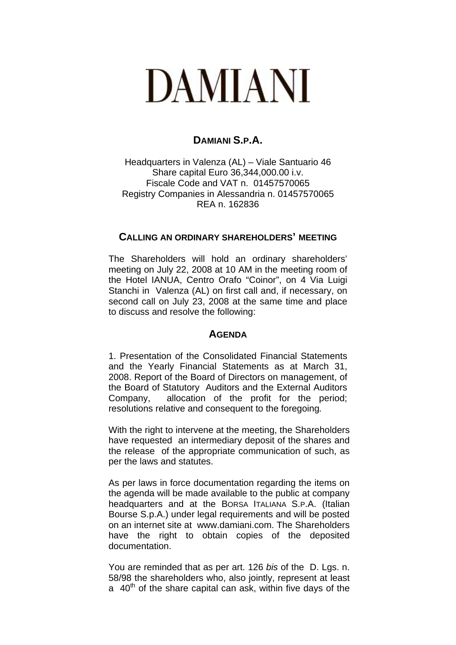## **DAMIANI**

## **DAMIANI S.P.A.**

Headquarters in Valenza (AL) – Viale Santuario 46 Share capital Euro 36,344,000.00 i.v. Fiscale Code and VAT n. 01457570065 Registry Companies in Alessandria n. 01457570065 REA n. 162836

## **CALLING AN ORDINARY SHAREHOLDERS' MEETING**

The Shareholders will hold an ordinary shareholders' meeting on July 22, 2008 at 10 AM in the meeting room of the Hotel IANUA, Centro Orafo "Coinor", on 4 Via Luigi Stanchi in Valenza (AL) on first call and, if necessary, on second call on July 23, 2008 at the same time and place to discuss and resolve the following:

## **AGENDA**

1. Presentation of the Consolidated Financial Statements and the Yearly Financial Statements as at March 31, 2008. Report of the Board of Directors on management, of the Board of Statutory Auditors and the External Auditors Company, allocation of the profit for the period; resolutions relative and consequent to the foregoing*.* 

With the right to intervene at the meeting, the Shareholders have requested an intermediary deposit of the shares and the release of the appropriate communication of such, as per the laws and statutes.

As per laws in force documentation regarding the items on the agenda will be made available to the public at company headquarters and at the BORSA ITALIANA S.P.A. (Italian Bourse S.p.A.) under legal requirements and will be posted on an internet site at www.damiani.com. The Shareholders have the right to obtain copies of the deposited documentation.

You are reminded that as per art. 126 *bis* of the D. Lgs. n. 58/98 the shareholders who, also jointly, represent at least a  $40<sup>th</sup>$  of the share capital can ask, within five days of the